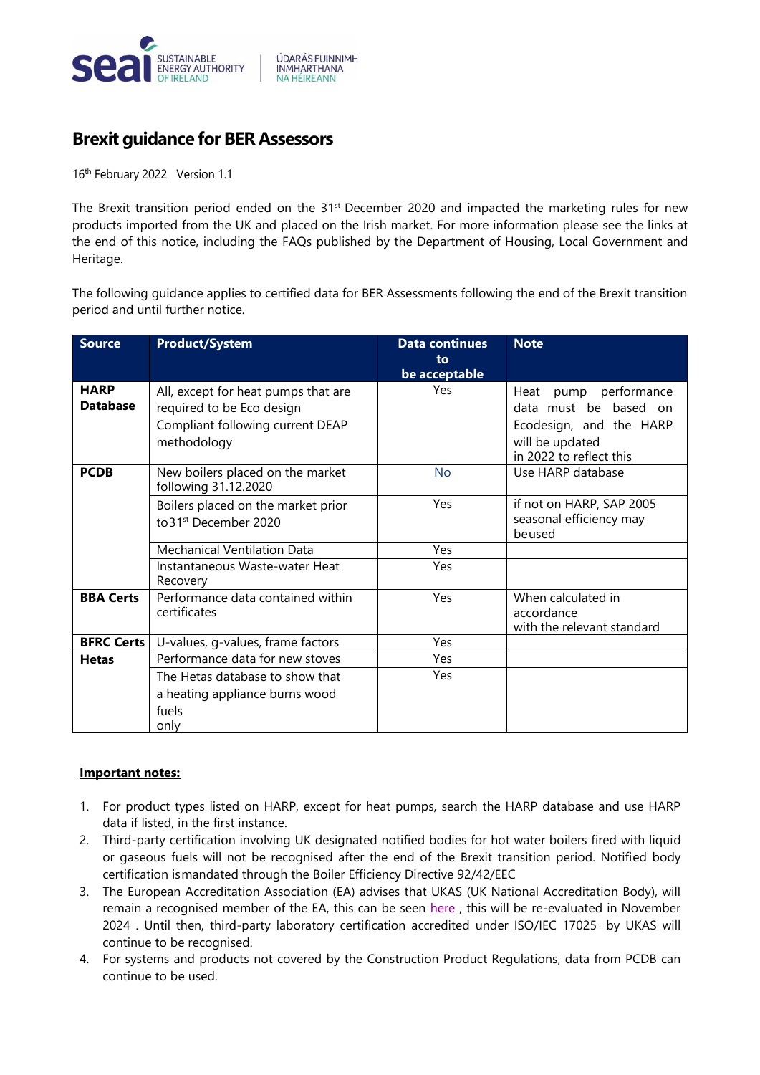

## **Brexit guidance for BER Assessors**

16<sup>th</sup> February 2022 Version 1.1

The Brexit transition period ended on the 31<sup>st</sup> December 2020 and impacted the marketing rules for new products imported from the UK and placed on the Irish market. For more information please see the links at the end of this notice, including the FAQs published by the Department of Housing, Local Government and Heritage.

The following guidance applies to certified data for BER Assessments following the end of the Brexit transition period and until further notice.

| <b>Source</b>                  | <b>Product/System</b>                                                                                               | <b>Data continues</b><br>to<br>be acceptable | <b>Note</b>                                                                                                             |
|--------------------------------|---------------------------------------------------------------------------------------------------------------------|----------------------------------------------|-------------------------------------------------------------------------------------------------------------------------|
| <b>HARP</b><br><b>Database</b> | All, except for heat pumps that are<br>required to be Eco design<br>Compliant following current DEAP<br>methodology | Yes                                          | Heat pump performance<br>data must be based on<br>Ecodesign, and the HARP<br>will be updated<br>in 2022 to reflect this |
| <b>PCDB</b>                    | New boilers placed on the market<br>following 31.12.2020                                                            | No                                           | Use HARP database                                                                                                       |
|                                | Boilers placed on the market prior<br>to 31 <sup>st</sup> December 2020                                             | Yes                                          | if not on HARP, SAP 2005<br>seasonal efficiency may<br>beused                                                           |
|                                | <b>Mechanical Ventilation Data</b>                                                                                  | Yes                                          |                                                                                                                         |
|                                | Instantaneous Waste-water Heat<br>Recovery                                                                          | Yes                                          |                                                                                                                         |
| <b>BBA Certs</b>               | Performance data contained within<br>certificates                                                                   | Yes                                          | When calculated in<br>accordance<br>with the relevant standard                                                          |
| <b>BFRC Certs</b>              | U-values, g-values, frame factors                                                                                   | Yes                                          |                                                                                                                         |
| <b>Hetas</b>                   | Performance data for new stoves                                                                                     | Yes                                          |                                                                                                                         |
|                                | The Hetas database to show that<br>a heating appliance burns wood<br>fuels<br>only                                  | <b>Yes</b>                                   |                                                                                                                         |

## **Important notes:**

- 1. For product types listed on HARP, except for heat pumps, search the HARP database and use HARP data if listed, in the first instance.
- 2. Third-party certification involving UK designated notified bodies for hot water boilers fired with liquid or gaseous fuels will not be recognised after the end of the Brexit transition period. Notified body certification ismandated through the Boiler Efficiency Directive 92/42/EEC
- 3. The European Accreditation Association (EA) advises that UKAS (UK National Accreditation Body), will remain a recognised member of the EA, this can be seen [here](https://eur03.safelinks.protection.outlook.com/?url=https%3A%2F%2Feuropean-accreditation.org%2Fea-members%2Fdirectory-of-ea-members-and-mla-signatories%2F%23UNITED%2520KINGDOM&data=04%7C01%7CStephen.Kelleghan%40seai.ie%7Ce6a39d4109ae443a0ea908d9f0a10d03%7Cf664e346d6fb43e585ba8c0408102355%7C1%7C0%7C637805396773130550%7CUnknown%7CTWFpbGZsb3d8eyJWIjoiMC4wLjAwMDAiLCJQIjoiV2luMzIiLCJBTiI6Ik1haWwiLCJXVCI6Mn0%3D%7C3000&sdata=SIqQhFA%2FkrtwYek%2BLyCXE44%2FwyjqvPr2v70encdL8qE%3D&reserved=0), this will be re-evaluated in November 2024 . Until then, third-party laboratory certification accredited under ISO/IEC 17025- by UKAS will continue to be recognised.
- 4. For systems and products not covered by the Construction Product Regulations, data from PCDB can continue to be used.